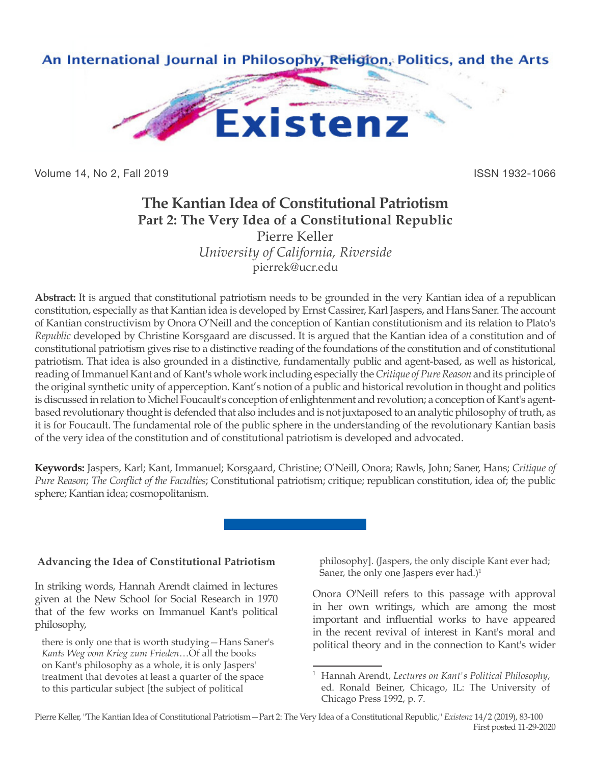

Volume 14, No 2, Fall 2019 ISSN 1932-1066

# **The Kantian Idea of Constitutional Patriotism Part 2: The Very Idea of a Constitutional Republic** Pierre Keller

*University of California, Riverside* pierrek@ucr.edu

**Abstract:** It is argued that constitutional patriotism needs to be grounded in the very Kantian idea of a republican constitution, especially as that Kantian idea is developed by Ernst Cassirer, Karl Jaspers, and Hans Saner. The account of Kantian constructivism by Onora O'Neill and the conception of Kantian constitutionism and its relation to Plato's *Republic* developed by Christine Korsgaard are discussed. It is argued that the Kantian idea of a constitution and of constitutional patriotism gives rise to a distinctive reading of the foundations of the constitution and of constitutional patriotism. That idea is also grounded in a distinctive, fundamentally public and agent-based, as well as historical, reading of Immanuel Kant and of Kant's whole work including especially the *Critique of Pure Reason* and its principle of the original synthetic unity of apperception. Kant's notion of a public and historical revolution in thought and politics is discussed in relation to Michel Foucault's conception of enlightenment and revolution; a conception of Kant's agentbased revolutionary thought is defended that also includes and is not juxtaposed to an analytic philosophy of truth, as it is for Foucault. The fundamental role of the public sphere in the understanding of the revolutionary Kantian basis of the very idea of the constitution and of constitutional patriotism is developed and advocated.

**Keywords:** Jaspers, Karl; Kant, Immanuel; Korsgaard, Christine; O'Neill, Onora; Rawls, John; Saner, Hans; *Critique of Pure Reason*; *The Conflict of the Faculties*; Constitutional patriotism; critique; republican constitution, idea of; the public sphere; Kantian idea; cosmopolitanism.

**Advancing the Idea of Constitutional Patriotism**

In striking words, Hannah Arendt claimed in lectures given at the New School for Social Research in 1970 that of the few works on Immanuel Kant's political philosophy,

there is only one that is worth studying—Hans Saner's *Kants Weg vom Krieg zum Frieden*…Of all the books on Kant's philosophy as a whole, it is only Jaspers' treatment that devotes at least a quarter of the space to this particular subject [the subject of political

philosophy]. (Jaspers, the only disciple Kant ever had; Saner, the only one Jaspers ever had.) $1$ 

Onora O'Neill refers to this passage with approval in her own writings, which are among the most important and influential works to have appeared in the recent revival of interest in Kant's moral and political theory and in the connection to Kant's wider

<sup>1</sup> Hannah Arendt, *Lectures on Kant's Political Philosophy*, ed. Ronald Beiner, Chicago, IL: The University of Chicago Press 1992, p. 7.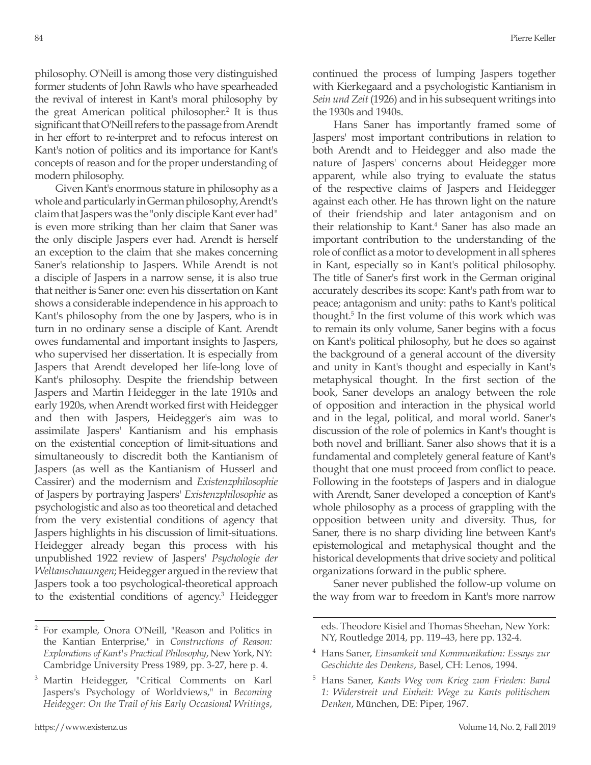philosophy. O'Neill is among those very distinguished former students of John Rawls who have spearheaded the revival of interest in Kant's moral philosophy by the great American political philosopher.<sup>2</sup> It is thus significant that O'Neill refers to the passage from Arendt in her effort to re-interpret and to refocus interest on Kant's notion of politics and its importance for Kant's concepts of reason and for the proper understanding of modern philosophy.

Given Kant's enormous stature in philosophy as a whole and particularly in German philosophy, Arendt's claim that Jaspers was the "only disciple Kant ever had" is even more striking than her claim that Saner was the only disciple Jaspers ever had. Arendt is herself an exception to the claim that she makes concerning Saner's relationship to Jaspers. While Arendt is not a disciple of Jaspers in a narrow sense, it is also true that neither is Saner one: even his dissertation on Kant shows a considerable independence in his approach to Kant's philosophy from the one by Jaspers, who is in turn in no ordinary sense a disciple of Kant. Arendt owes fundamental and important insights to Jaspers, who supervised her dissertation. It is especially from Jaspers that Arendt developed her life-long love of Kant's philosophy. Despite the friendship between Jaspers and Martin Heidegger in the late 1910s and early 1920s, when Arendt worked first with Heidegger and then with Jaspers, Heidegger's aim was to assimilate Jaspers' Kantianism and his emphasis on the existential conception of limit-situations and simultaneously to discredit both the Kantianism of Jaspers (as well as the Kantianism of Husserl and Cassirer) and the modernism and *Existenzphilosophie* of Jaspers by portraying Jaspers' *Existenzphilosophie* as psychologistic and also as too theoretical and detached from the very existential conditions of agency that Jaspers highlights in his discussion of limit-situations. Heidegger already began this process with his unpublished 1922 review of Jaspers' *Psychologie der Weltanschauungen*; Heidegger argued in the review that Jaspers took a too psychological-theoretical approach to the existential conditions of agency.<sup>3</sup> Heidegger continued the process of lumping Jaspers together with Kierkegaard and a psychologistic Kantianism in *Sein und Zeit* (1926) and in his subsequent writings into the 1930s and 1940s.

Hans Saner has importantly framed some of Jaspers' most important contributions in relation to both Arendt and to Heidegger and also made the nature of Jaspers' concerns about Heidegger more apparent, while also trying to evaluate the status of the respective claims of Jaspers and Heidegger against each other. He has thrown light on the nature of their friendship and later antagonism and on their relationship to Kant.<sup>4</sup> Saner has also made an important contribution to the understanding of the role of conflict as a motor to development in all spheres in Kant, especially so in Kant's political philosophy. The title of Saner's first work in the German original accurately describes its scope: Kant's path from war to peace; antagonism and unity: paths to Kant's political thought.5 In the first volume of this work which was to remain its only volume, Saner begins with a focus on Kant's political philosophy, but he does so against the background of a general account of the diversity and unity in Kant's thought and especially in Kant's metaphysical thought. In the first section of the book, Saner develops an analogy between the role of opposition and interaction in the physical world and in the legal, political, and moral world. Saner's discussion of the role of polemics in Kant's thought is both novel and brilliant. Saner also shows that it is a fundamental and completely general feature of Kant's thought that one must proceed from conflict to peace. Following in the footsteps of Jaspers and in dialogue with Arendt, Saner developed a conception of Kant's whole philosophy as a process of grappling with the opposition between unity and diversity. Thus, for Saner, there is no sharp dividing line between Kant's epistemological and metaphysical thought and the historical developments that drive society and political organizations forward in the public sphere.

Saner never published the follow-up volume on the way from war to freedom in Kant's more narrow

<sup>2</sup> For example, Onora O'Neill, "Reason and Politics in the Kantian Enterprise," in *Constructions of Reason: Explorations of Kant's Practical Philosophy*, New York, NY: Cambridge University Press 1989, pp. 3-27, here p. 4.

<sup>&</sup>lt;sup>3</sup> Martin Heidegger, "Critical Comments on Karl Jaspers's Psychology of Worldviews," in *Becoming Heidegger: On the Trail of his Early Occasional Writings*,

eds. Theodore Kisiel and Thomas Sheehan, New York: NY, Routledge 2014, pp. 119–43, here pp. 132-4.

<sup>4</sup> Hans Saner, *Einsamkeit und Kommunikation: Essays zur Geschichte des Denkens*, Basel, CH: Lenos, 1994.

<sup>5</sup> Hans Saner, *Kants Weg vom Krieg zum Frieden: Band 1: Widerstreit und Einheit: Wege zu Kants politischem Denken*, München, DE: Piper, 1967.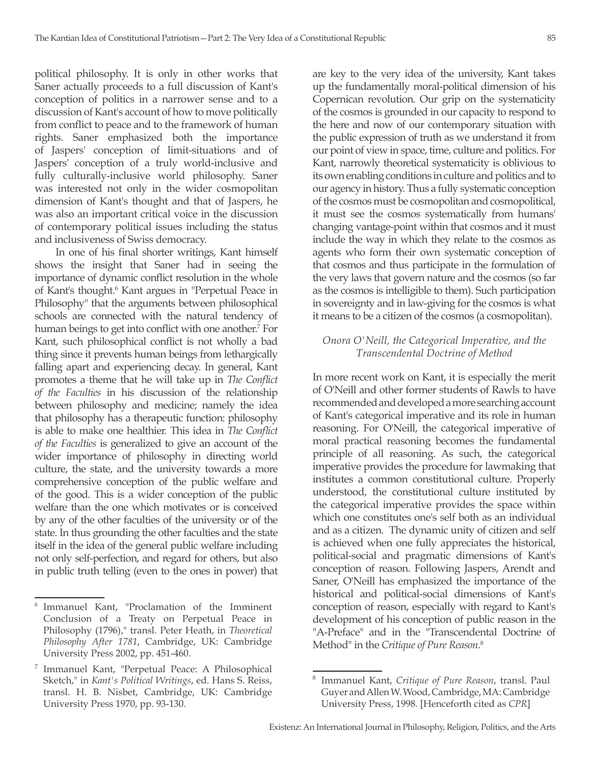political philosophy. It is only in other works that Saner actually proceeds to a full discussion of Kant's conception of politics in a narrower sense and to a discussion of Kant's account of how to move politically from conflict to peace and to the framework of human rights. Saner emphasized both the importance of Jaspers' conception of limit-situations and of Jaspers' conception of a truly world-inclusive and fully culturally-inclusive world philosophy. Saner was interested not only in the wider cosmopolitan dimension of Kant's thought and that of Jaspers, he was also an important critical voice in the discussion of contemporary political issues including the status and inclusiveness of Swiss democracy.

In one of his final shorter writings, Kant himself shows the insight that Saner had in seeing the importance of dynamic conflict resolution in the whole of Kant's thought.<sup>6</sup> Kant argues in "Perpetual Peace in Philosophy" that the arguments between philosophical schools are connected with the natural tendency of human beings to get into conflict with one another.<sup>7</sup> For Kant, such philosophical conflict is not wholly a bad thing since it prevents human beings from lethargically falling apart and experiencing decay. In general, Kant promotes a theme that he will take up in *The Conflict of the Faculties* in his discussion of the relationship between philosophy and medicine; namely the idea that philosophy has a therapeutic function: philosophy is able to make one healthier. This idea in *The Conflict of the Faculties* is generalized to give an account of the wider importance of philosophy in directing world culture, the state, and the university towards a more comprehensive conception of the public welfare and of the good. This is a wider conception of the public welfare than the one which motivates or is conceived by any of the other faculties of the university or of the state. In thus grounding the other faculties and the state itself in the idea of the general public welfare including not only self-perfection, and regard for others, but also in public truth telling (even to the ones in power) that

are key to the very idea of the university, Kant takes up the fundamentally moral-political dimension of his Copernican revolution. Our grip on the systematicity of the cosmos is grounded in our capacity to respond to the here and now of our contemporary situation with the public expression of truth as we understand it from our point of view in space, time, culture and politics. For Kant, narrowly theoretical systematicity is oblivious to its own enabling conditions in culture and politics and to our agency in history. Thus a fully systematic conception of the cosmos must be cosmopolitan and cosmopolitical, it must see the cosmos systematically from humans' changing vantage-point within that cosmos and it must include the way in which they relate to the cosmos as agents who form their own systematic conception of that cosmos and thus participate in the formulation of the very laws that govern nature and the cosmos (so far as the cosmos is intelligible to them). Such participation in sovereignty and in law-giving for the cosmos is what it means to be a citizen of the cosmos (a cosmopolitan).

#### *Onora O'Neill, the Categorical Imperative, and the Transcendental Doctrine of Method*

In more recent work on Kant, it is especially the merit of O'Neill and other former students of Rawls to have recommended and developed a more searching account of Kant's categorical imperative and its role in human reasoning. For O'Neill, the categorical imperative of moral practical reasoning becomes the fundamental principle of all reasoning. As such, the categorical imperative provides the procedure for lawmaking that institutes a common constitutional culture. Properly understood, the constitutional culture instituted by the categorical imperative provides the space within which one constitutes one's self both as an individual and as a citizen. The dynamic unity of citizen and self is achieved when one fully appreciates the historical, political-social and pragmatic dimensions of Kant's conception of reason. Following Jaspers, Arendt and Saner, O'Neill has emphasized the importance of the historical and political-social dimensions of Kant's conception of reason, especially with regard to Kant's development of his conception of public reason in the "A-Preface" and in the "Transcendental Doctrine of Method" in the *Critique of Pure Reason*. 8

<sup>6</sup> Immanuel Kant, "Proclamation of the Imminent Conclusion of a Treaty on Perpetual Peace in Philosophy (1796)," transl. Peter Heath, in *Theoretical Philosophy After 1781*, Cambridge, UK: Cambridge University Press 2002, pp. 451-460.

<sup>7</sup> Immanuel Kant, "Perpetual Peace: A Philosophical Sketch," in *Kant's Political Writings*, ed. Hans S. Reiss, transl. H. B. Nisbet, Cambridge, UK: Cambridge University Press 1970, pp. 93-130.

<sup>8</sup> Immanuel Kant, *Critique of Pure Reason*, transl. Paul Guyer and Allen W. Wood, Cambridge, MA: Cambridge University Press, 1998. [Henceforth cited as *CPR*]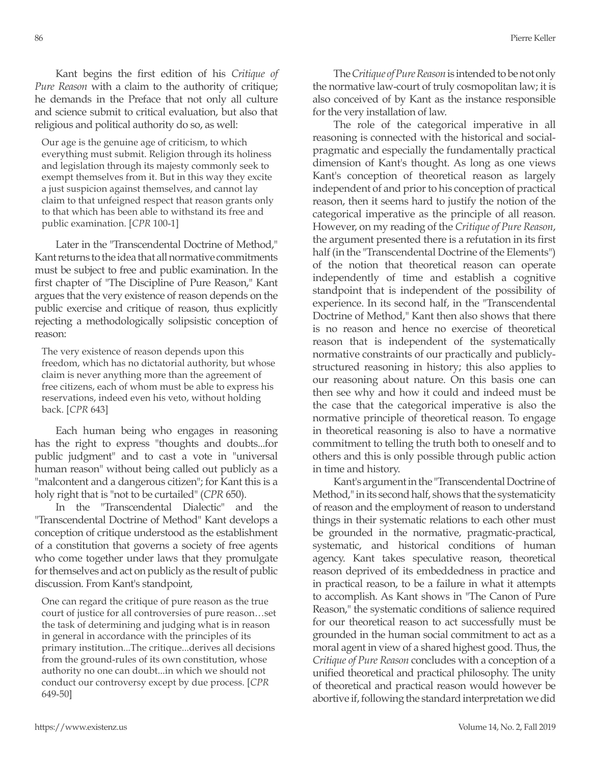Kant begins the first edition of his *Critique of Pure Reason* with a claim to the authority of critique; he demands in the Preface that not only all culture and science submit to critical evaluation, but also that religious and political authority do so, as well:

Our age is the genuine age of criticism, to which everything must submit. Religion through its holiness and legislation through its majesty commonly seek to exempt themselves from it. But in this way they excite a just suspicion against themselves, and cannot lay claim to that unfeigned respect that reason grants only to that which has been able to withstand its free and public examination. [*CPR* 100-1]

Later in the "Transcendental Doctrine of Method," Kant returns to the idea that all normative commitments must be subject to free and public examination. In the first chapter of "The Discipline of Pure Reason," Kant argues that the very existence of reason depends on the public exercise and critique of reason, thus explicitly rejecting a methodologically solipsistic conception of reason:

The very existence of reason depends upon this freedom, which has no dictatorial authority, but whose claim is never anything more than the agreement of free citizens, each of whom must be able to express his reservations, indeed even his veto, without holding back. [*CPR* 643]

Each human being who engages in reasoning has the right to express "thoughts and doubts...for public judgment" and to cast a vote in "universal human reason" without being called out publicly as a "malcontent and a dangerous citizen"; for Kant this is a holy right that is "not to be curtailed" (*CPR* 650).

In the "Transcendental Dialectic" and the "Transcendental Doctrine of Method" Kant develops a conception of critique understood as the establishment of a constitution that governs a society of free agents who come together under laws that they promulgate for themselves and act on publicly as the result of public discussion. From Kant's standpoint,

One can regard the critique of pure reason as the true court of justice for all controversies of pure reason…set the task of determining and judging what is in reason in general in accordance with the principles of its primary institution...The critique...derives all decisions from the ground-rules of its own constitution, whose authority no one can doubt...in which we should not conduct our controversy except by due process. [*CPR* 649-50]

The *Critique of Pure Reason* is intended to be not only the normative law-court of truly cosmopolitan law; it is also conceived of by Kant as the instance responsible for the very installation of law.

The role of the categorical imperative in all reasoning is connected with the historical and socialpragmatic and especially the fundamentally practical dimension of Kant's thought. As long as one views Kant's conception of theoretical reason as largely independent of and prior to his conception of practical reason, then it seems hard to justify the notion of the categorical imperative as the principle of all reason. However, on my reading of the *Critique of Pure Reason*, the argument presented there is a refutation in its first half (in the "Transcendental Doctrine of the Elements") of the notion that theoretical reason can operate independently of time and establish a cognitive standpoint that is independent of the possibility of experience. In its second half, in the "Transcendental Doctrine of Method," Kant then also shows that there is no reason and hence no exercise of theoretical reason that is independent of the systematically normative constraints of our practically and publiclystructured reasoning in history; this also applies to our reasoning about nature. On this basis one can then see why and how it could and indeed must be the case that the categorical imperative is also the normative principle of theoretical reason. To engage in theoretical reasoning is also to have a normative commitment to telling the truth both to oneself and to others and this is only possible through public action in time and history.

Kant's argument in the "Transcendental Doctrine of Method," in its second half, shows that the systematicity of reason and the employment of reason to understand things in their systematic relations to each other must be grounded in the normative, pragmatic-practical, systematic, and historical conditions of human agency. Kant takes speculative reason, theoretical reason deprived of its embeddedness in practice and in practical reason, to be a failure in what it attempts to accomplish. As Kant shows in "The Canon of Pure Reason," the systematic conditions of salience required for our theoretical reason to act successfully must be grounded in the human social commitment to act as a moral agent in view of a shared highest good. Thus, the *Critique of Pure Reason* concludes with a conception of a unified theoretical and practical philosophy. The unity of theoretical and practical reason would however be abortive if, following the standard interpretation we did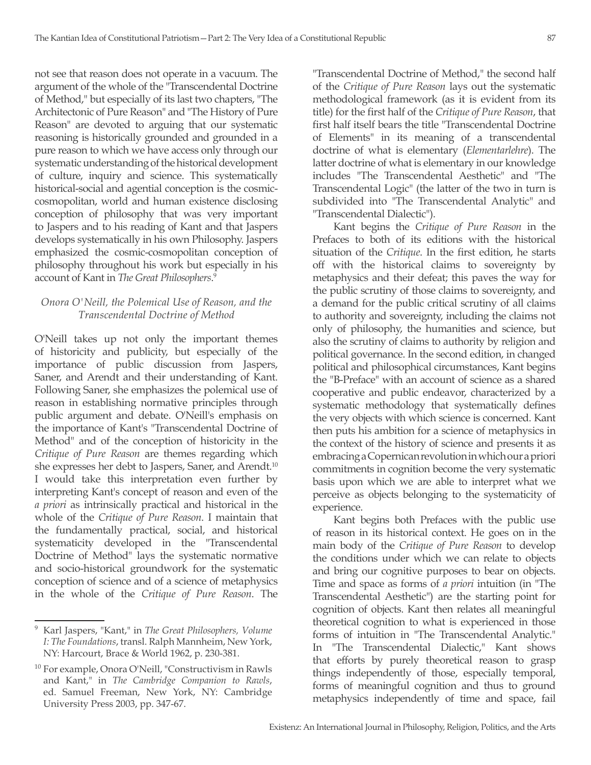not see that reason does not operate in a vacuum. The argument of the whole of the "Transcendental Doctrine of Method," but especially of its last two chapters, "The Architectonic of Pure Reason" and "The History of Pure Reason" are devoted to arguing that our systematic reasoning is historically grounded and grounded in a pure reason to which we have access only through our systematic understanding of the historical development of culture, inquiry and science. This systematically historical-social and agential conception is the cosmiccosmopolitan, world and human existence disclosing conception of philosophy that was very important to Jaspers and to his reading of Kant and that Jaspers develops systematically in his own Philosophy. Jaspers emphasized the cosmic-cosmopolitan conception of philosophy throughout his work but especially in his account of Kant in *The Great Philosophers*. 9

## *Onora O'Neill, the Polemical Use of Reason, and the Transcendental Doctrine of Method*

O'Neill takes up not only the important themes of historicity and publicity, but especially of the importance of public discussion from Jaspers, Saner, and Arendt and their understanding of Kant. Following Saner, she emphasizes the polemical use of reason in establishing normative principles through public argument and debate. O'Neill's emphasis on the importance of Kant's "Transcendental Doctrine of Method" and of the conception of historicity in the *Critique of Pure Reason* are themes regarding which she expresses her debt to Jaspers, Saner, and Arendt.<sup>10</sup> I would take this interpretation even further by interpreting Kant's concept of reason and even of the *a priori* as intrinsically practical and historical in the whole of the *Critique of Pure Reason*. I maintain that the fundamentally practical, social, and historical systematicity developed in the "Transcendental Doctrine of Method" lays the systematic normative and socio-historical groundwork for the systematic conception of science and of a science of metaphysics in the whole of the *Critique of Pure Reason*. The

"Transcendental Doctrine of Method," the second half of the *Critique of Pure Reason* lays out the systematic methodological framework (as it is evident from its title) for the first half of the *Critique of Pure Reason*, that first half itself bears the title "Transcendental Doctrine of Elements" in its meaning of a transcendental doctrine of what is elementary (*Elementarlehre*). The latter doctrine of what is elementary in our knowledge includes "The Transcendental Aesthetic" and "The Transcendental Logic" (the latter of the two in turn is subdivided into "The Transcendental Analytic" and "Transcendental Dialectic").

Kant begins the *Critique of Pure Reason* in the Prefaces to both of its editions with the historical situation of the *Critique*. In the first edition, he starts off with the historical claims to sovereignty by metaphysics and their defeat; this paves the way for the public scrutiny of those claims to sovereignty, and a demand for the public critical scrutiny of all claims to authority and sovereignty, including the claims not only of philosophy, the humanities and science, but also the scrutiny of claims to authority by religion and political governance. In the second edition, in changed political and philosophical circumstances, Kant begins the "B-Preface" with an account of science as a shared cooperative and public endeavor, characterized by a systematic methodology that systematically defines the very objects with which science is concerned. Kant then puts his ambition for a science of metaphysics in the context of the history of science and presents it as embracing a Copernican revolution in which our a priori commitments in cognition become the very systematic basis upon which we are able to interpret what we perceive as objects belonging to the systematicity of experience.

Kant begins both Prefaces with the public use of reason in its historical context. He goes on in the main body of the *Critique of Pure Reason* to develop the conditions under which we can relate to objects and bring our cognitive purposes to bear on objects. Time and space as forms of *a priori* intuition (in "The Transcendental Aesthetic") are the starting point for cognition of objects. Kant then relates all meaningful theoretical cognition to what is experienced in those forms of intuition in "The Transcendental Analytic." In "The Transcendental Dialectic," Kant shows that efforts by purely theoretical reason to grasp things independently of those, especially temporal, forms of meaningful cognition and thus to ground metaphysics independently of time and space, fail

<sup>9</sup> Karl Jaspers, "Kant," in *The Great Philosophers, Volume I: The Foundations*, transl. Ralph Mannheim, New York, NY: Harcourt, Brace & World 1962, p. 230-381.

<sup>10</sup> For example, Onora O'Neill, "Constructivism in Rawls and Kant," in *The Cambridge Companion to Rawls*, ed. Samuel Freeman, New York, NY: Cambridge University Press 2003, pp. 347-67.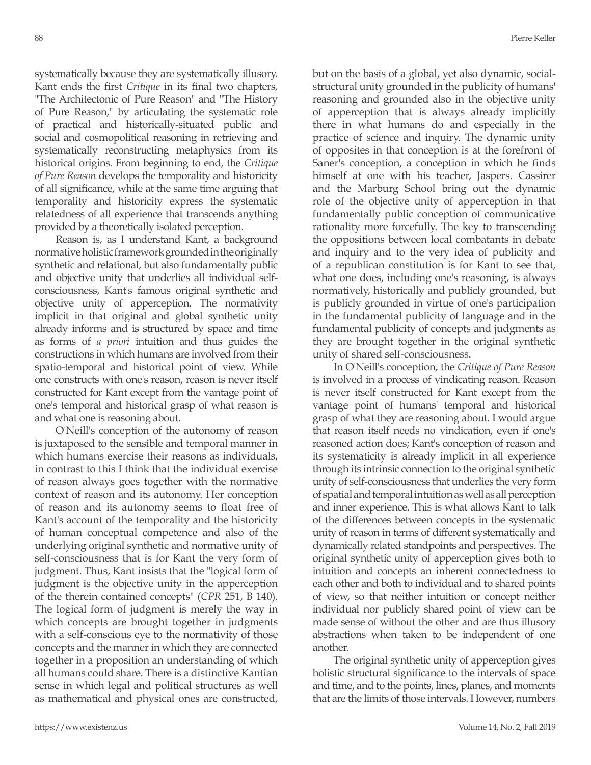systematically because they are systematically illusory. Kant ends the first *Critique* in its final two chapters, "The Architectonic of Pure Reason" and "The History of Pure Reason," by articulating the systematic role of practical and historically-situated public and social and cosmopolitical reasoning in retrieving and systematically reconstructing metaphysics from its historical origins. From beginning to end, the *Critique of Pure Reason* develops the temporality and historicity of all significance, while at the same time arguing that temporality and historicity express the systematic relatedness of all experience that transcends anything provided by a theoretically isolated perception.

Reason is, as I understand Kant, a background normative holistic framework grounded in the originally synthetic and relational, but also fundamentally public and objective unity that underlies all individual selfconsciousness, Kant's famous original synthetic and objective unity of apperception. The normativity implicit in that original and global synthetic unity already informs and is structured by space and time as forms of *a priori* intuition and thus guides the constructions in which humans are involved from their spatio-temporal and historical point of view. While one constructs with one's reason, reason is never itself constructed for Kant except from the vantage point of one's temporal and historical grasp of what reason is and what one is reasoning about.

O'Neill's conception of the autonomy of reason is juxtaposed to the sensible and temporal manner in which humans exercise their reasons as individuals, in contrast to this I think that the individual exercise of reason always goes together with the normative context of reason and its autonomy. Her conception of reason and its autonomy seems to float free of Kant's account of the temporality and the historicity of human conceptual competence and also of the underlying original synthetic and normative unity of self-consciousness that is for Kant the very form of judgment. Thus, Kant insists that the "logical form of judgment is the objective unity in the apperception of the therein contained concepts" (*CPR* 251, B 140). The logical form of judgment is merely the way in which concepts are brought together in judgments with a self-conscious eye to the normativity of those concepts and the manner in which they are connected together in a proposition an understanding of which all humans could share. There is a distinctive Kantian sense in which legal and political structures as well as mathematical and physical ones are constructed, but on the basis of a global, yet also dynamic, socialstructural unity grounded in the publicity of humans' reasoning and grounded also in the objective unity of apperception that is always already implicitly there in what humans do and especially in the practice of science and inquiry. The dynamic unity of opposites in that conception is at the forefront of Saner's conception, a conception in which he finds himself at one with his teacher, Jaspers. Cassirer and the Marburg School bring out the dynamic role of the objective unity of apperception in that fundamentally public conception of communicative rationality more forcefully. The key to transcending the oppositions between local combatants in debate and inquiry and to the very idea of publicity and of a republican constitution is for Kant to see that, what one does, including one's reasoning, is always normatively, historically and publicly grounded, but is publicly grounded in virtue of one's participation in the fundamental publicity of language and in the fundamental publicity of concepts and judgments as they are brought together in the original synthetic unity of shared self-consciousness.

In O'Neill's conception, the *Critique of Pure Reason* is involved in a process of vindicating reason. Reason is never itself constructed for Kant except from the vantage point of humans' temporal and historical grasp of what they are reasoning about. I would argue that reason itself needs no vindication, even if one's reasoned action does; Kant's conception of reason and its systematicity is already implicit in all experience through its intrinsic connection to the original synthetic unity of self-consciousness that underlies the very form of spatial and temporal intuition as well as all perception and inner experience. This is what allows Kant to talk of the differences between concepts in the systematic unity of reason in terms of different systematically and dynamically related standpoints and perspectives. The original synthetic unity of apperception gives both to intuition and concepts an inherent connectedness to each other and both to individual and to shared points of view, so that neither intuition or concept neither individual nor publicly shared point of view can be made sense of without the other and are thus illusory abstractions when taken to be independent of one another.

The original synthetic unity of apperception gives holistic structural significance to the intervals of space and time, and to the points, lines, planes, and moments that are the limits of those intervals. However, numbers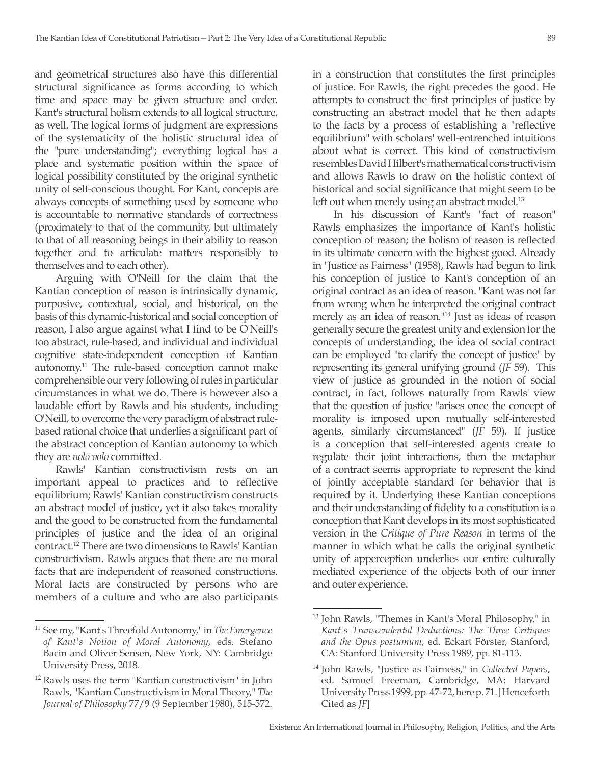and geometrical structures also have this differential structural significance as forms according to which time and space may be given structure and order. Kant's structural holism extends to all logical structure, as well. The logical forms of judgment are expressions of the systematicity of the holistic structural idea of the "pure understanding"; everything logical has a place and systematic position within the space of logical possibility constituted by the original synthetic unity of self-conscious thought. For Kant, concepts are always concepts of something used by someone who is accountable to normative standards of correctness (proximately to that of the community, but ultimately to that of all reasoning beings in their ability to reason together and to articulate matters responsibly to themselves and to each other).

Arguing with O'Neill for the claim that the Kantian conception of reason is intrinsically dynamic, purposive, contextual, social, and historical, on the basis of this dynamic-historical and social conception of reason, I also argue against what I find to be O'Neill's too abstract, rule-based, and individual and individual cognitive state-independent conception of Kantian autonomy.11 The rule-based conception cannot make comprehensible our very following of rules in particular circumstances in what we do. There is however also a laudable effort by Rawls and his students, including O'Neill, to overcome the very paradigm of abstract rulebased rational choice that underlies a significant part of the abstract conception of Kantian autonomy to which they are *nolo volo* committed.

Rawls' Kantian constructivism rests on an important appeal to practices and to reflective equilibrium; Rawls' Kantian constructivism constructs an abstract model of justice, yet it also takes morality and the good to be constructed from the fundamental principles of justice and the idea of an original contract.12 There are two dimensions to Rawls' Kantian constructivism. Rawls argues that there are no moral facts that are independent of reasoned constructions. Moral facts are constructed by persons who are members of a culture and who are also participants in a construction that constitutes the first principles of justice. For Rawls, the right precedes the good. He attempts to construct the first principles of justice by constructing an abstract model that he then adapts to the facts by a process of establishing a "reflective equilibrium" with scholars' well-entrenched intuitions about what is correct. This kind of constructivism resembles David Hilbert's mathematical constructivism and allows Rawls to draw on the holistic context of historical and social significance that might seem to be left out when merely using an abstract model.<sup>13</sup>

In his discussion of Kant's "fact of reason" Rawls emphasizes the importance of Kant's holistic conception of reason; the holism of reason is reflected in its ultimate concern with the highest good. Already in "Justice as Fairness" (1958), Rawls had begun to link his conception of justice to Kant's conception of an original contract as an idea of reason. "Kant was not far from wrong when he interpreted the original contract merely as an idea of reason."14 Just as ideas of reason generally secure the greatest unity and extension for the concepts of understanding, the idea of social contract can be employed "to clarify the concept of justice" by representing its general unifying ground (*JF* 59). This view of justice as grounded in the notion of social contract, in fact, follows naturally from Rawls' view that the question of justice "arises once the concept of morality is imposed upon mutually self-interested agents, similarly circumstanced" (*JF* 59). If justice is a conception that self-interested agents create to regulate their joint interactions, then the metaphor of a contract seems appropriate to represent the kind of jointly acceptable standard for behavior that is required by it. Underlying these Kantian conceptions and their understanding of fidelity to a constitution is a conception that Kant develops in its most sophisticated version in the *Critique of Pure Reason* in terms of the manner in which what he calls the original synthetic unity of apperception underlies our entire culturally mediated experience of the objects both of our inner and outer experience.

<sup>11</sup> See my, "Kant's Threefold Autonomy," in *The Emergence of Kant's Notion of Moral Autonomy*, eds. Stefano Bacin and Oliver Sensen, New York, NY: Cambridge University Press, 2018.

<sup>12</sup> Rawls uses the term "Kantian constructivism" in John Rawls, "Kantian Constructivism in Moral Theory," *The Journal of Philosophy* 77/9 (9 September 1980), 515-572.

<sup>13</sup> John Rawls, "Themes in Kant's Moral Philosophy," in *Kant's Transcendental Deductions: The Three Critiques and the Opus postumum*, ed. Eckart Förster, Stanford, CA: Stanford University Press 1989, pp. 81-113.

<sup>14</sup> John Rawls, "Justice as Fairness," in *Collected Papers*, ed. Samuel Freeman, Cambridge, MA: Harvard University Press 1999, pp. 47-72, here p. 71. [Henceforth Cited as *JF*]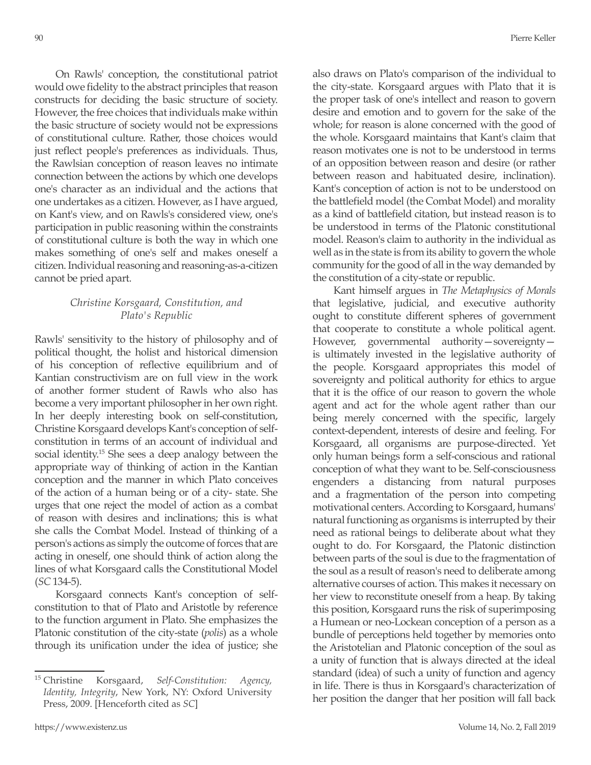On Rawls' conception, the constitutional patriot would owe fidelity to the abstract principles that reason constructs for deciding the basic structure of society. However, the free choices that individuals make within the basic structure of society would not be expressions of constitutional culture. Rather, those choices would just reflect people's preferences as individuals. Thus, the Rawlsian conception of reason leaves no intimate connection between the actions by which one develops one's character as an individual and the actions that one undertakes as a citizen. However, as I have argued, on Kant's view, and on Rawls's considered view, one's participation in public reasoning within the constraints of constitutional culture is both the way in which one makes something of one's self and makes oneself a citizen. Individual reasoning and reasoning-as-a-citizen cannot be pried apart.

### *Christine Korsgaard, Constitution, and Plato's Republic*

Rawls' sensitivity to the history of philosophy and of political thought, the holist and historical dimension of his conception of reflective equilibrium and of Kantian constructivism are on full view in the work of another former student of Rawls who also has become a very important philosopher in her own right. In her deeply interesting book on self-constitution, Christine Korsgaard develops Kant's conception of selfconstitution in terms of an account of individual and social identity.<sup>15</sup> She sees a deep analogy between the appropriate way of thinking of action in the Kantian conception and the manner in which Plato conceives of the action of a human being or of a city- state. She urges that one reject the model of action as a combat of reason with desires and inclinations; this is what she calls the Combat Model. Instead of thinking of a person's actions as simply the outcome of forces that are acting in oneself, one should think of action along the lines of what Korsgaard calls the Constitutional Model (*SC* 134-5).

Korsgaard connects Kant's conception of selfconstitution to that of Plato and Aristotle by reference to the function argument in Plato. She emphasizes the Platonic constitution of the city-state (*polis*) as a whole through its unification under the idea of justice; she also draws on Plato's comparison of the individual to the city-state. Korsgaard argues with Plato that it is the proper task of one's intellect and reason to govern desire and emotion and to govern for the sake of the whole; for reason is alone concerned with the good of the whole. Korsgaard maintains that Kant's claim that reason motivates one is not to be understood in terms of an opposition between reason and desire (or rather between reason and habituated desire, inclination). Kant's conception of action is not to be understood on the battlefield model (the Combat Model) and morality as a kind of battlefield citation, but instead reason is to be understood in terms of the Platonic constitutional model. Reason's claim to authority in the individual as well as in the state is from its ability to govern the whole community for the good of all in the way demanded by the constitution of a city-state or republic.

Kant himself argues in *The Metaphysics of Morals*  that legislative, judicial, and executive authority ought to constitute different spheres of government that cooperate to constitute a whole political agent. However, governmental authority—sovereignty is ultimately invested in the legislative authority of the people. Korsgaard appropriates this model of sovereignty and political authority for ethics to argue that it is the office of our reason to govern the whole agent and act for the whole agent rather than our being merely concerned with the specific, largely context-dependent, interests of desire and feeling. For Korsgaard, all organisms are purpose-directed. Yet only human beings form a self-conscious and rational conception of what they want to be. Self-consciousness engenders a distancing from natural purposes and a fragmentation of the person into competing motivational centers. According to Korsgaard, humans' natural functioning as organisms is interrupted by their need as rational beings to deliberate about what they ought to do. For Korsgaard, the Platonic distinction between parts of the soul is due to the fragmentation of the soul as a result of reason's need to deliberate among alternative courses of action. This makes it necessary on her view to reconstitute oneself from a heap. By taking this position, Korsgaard runs the risk of superimposing a Humean or neo-Lockean conception of a person as a bundle of perceptions held together by memories onto the Aristotelian and Platonic conception of the soul as a unity of function that is always directed at the ideal standard (idea) of such a unity of function and agency in life. There is thus in Korsgaard's characterization of her position the danger that her position will fall back

<sup>15</sup> Christine Korsgaard, *Self-Constitution: Agency, Identity, Integrity*, New York, NY: Oxford University Press, 2009. [Henceforth cited as *SC*]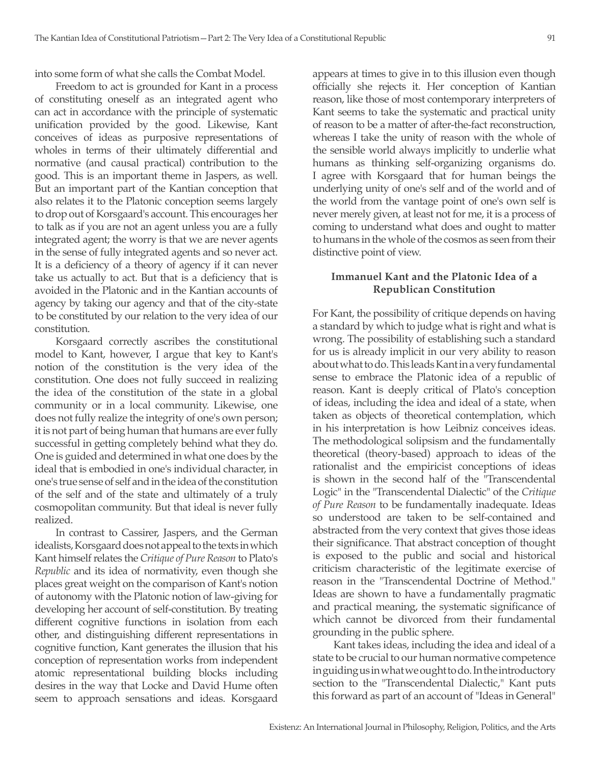into some form of what she calls the Combat Model.

Freedom to act is grounded for Kant in a process of constituting oneself as an integrated agent who can act in accordance with the principle of systematic unification provided by the good. Likewise, Kant conceives of ideas as purposive representations of wholes in terms of their ultimately differential and normative (and causal practical) contribution to the good. This is an important theme in Jaspers, as well. But an important part of the Kantian conception that also relates it to the Platonic conception seems largely to drop out of Korsgaard's account. This encourages her to talk as if you are not an agent unless you are a fully integrated agent; the worry is that we are never agents in the sense of fully integrated agents and so never act. It is a deficiency of a theory of agency if it can never take us actually to act. But that is a deficiency that is avoided in the Platonic and in the Kantian accounts of agency by taking our agency and that of the city-state to be constituted by our relation to the very idea of our constitution.

Korsgaard correctly ascribes the constitutional model to Kant, however, I argue that key to Kant's notion of the constitution is the very idea of the constitution. One does not fully succeed in realizing the idea of the constitution of the state in a global community or in a local community. Likewise, one does not fully realize the integrity of one's own person; it is not part of being human that humans are ever fully successful in getting completely behind what they do. One is guided and determined in what one does by the ideal that is embodied in one's individual character, in one's true sense of self and in the idea of the constitution of the self and of the state and ultimately of a truly cosmopolitan community. But that ideal is never fully realized.

In contrast to Cassirer, Jaspers, and the German idealists, Korsgaard does not appeal to the texts in which Kant himself relates the *Critique of Pure Reason* to Plato's *Republic* and its idea of normativity, even though she places great weight on the comparison of Kant's notion of autonomy with the Platonic notion of law-giving for developing her account of self-constitution. By treating different cognitive functions in isolation from each other, and distinguishing different representations in cognitive function, Kant generates the illusion that his conception of representation works from independent atomic representational building blocks including desires in the way that Locke and David Hume often seem to approach sensations and ideas. Korsgaard

appears at times to give in to this illusion even though officially she rejects it. Her conception of Kantian reason, like those of most contemporary interpreters of Kant seems to take the systematic and practical unity of reason to be a matter of after-the-fact reconstruction, whereas I take the unity of reason with the whole of the sensible world always implicitly to underlie what humans as thinking self-organizing organisms do. I agree with Korsgaard that for human beings the underlying unity of one's self and of the world and of the world from the vantage point of one's own self is never merely given, at least not for me, it is a process of coming to understand what does and ought to matter to humans in the whole of the cosmos as seen from their distinctive point of view.

### **Immanuel Kant and the Platonic Idea of a Republican Constitution**

For Kant, the possibility of critique depends on having a standard by which to judge what is right and what is wrong. The possibility of establishing such a standard for us is already implicit in our very ability to reason about what to do. This leads Kant in a very fundamental sense to embrace the Platonic idea of a republic of reason. Kant is deeply critical of Plato's conception of ideas, including the idea and ideal of a state, when taken as objects of theoretical contemplation, which in his interpretation is how Leibniz conceives ideas. The methodological solipsism and the fundamentally theoretical (theory-based) approach to ideas of the rationalist and the empiricist conceptions of ideas is shown in the second half of the "Transcendental Logic" in the "Transcendental Dialectic" of the *Critique of Pure Reason* to be fundamentally inadequate. Ideas so understood are taken to be self-contained and abstracted from the very context that gives those ideas their significance. That abstract conception of thought is exposed to the public and social and historical criticism characteristic of the legitimate exercise of reason in the "Transcendental Doctrine of Method." Ideas are shown to have a fundamentally pragmatic and practical meaning, the systematic significance of which cannot be divorced from their fundamental grounding in the public sphere.

Kant takes ideas, including the idea and ideal of a state to be crucial to our human normative competence in guiding us in what we ought to do. In the introductory section to the "Transcendental Dialectic," Kant puts this forward as part of an account of "Ideas in General"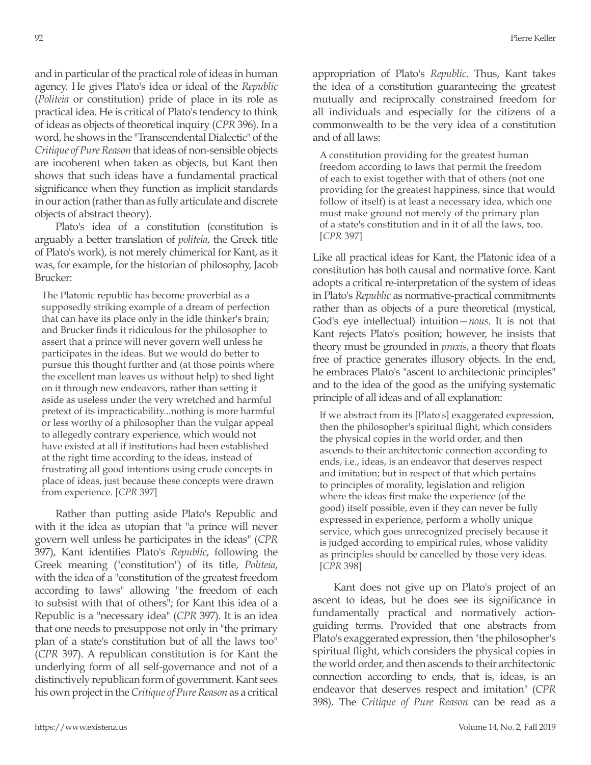and in particular of the practical role of ideas in human agency. He gives Plato's idea or ideal of the *Republic* (*Politeia* or constitution) pride of place in its role as practical idea. He is critical of Plato's tendency to think of ideas as objects of theoretical inquiry (*CPR* 396). In a word, he shows in the "Transcendental Dialectic" of the *Critique of Pure Reason* that ideas of non-sensible objects are incoherent when taken as objects, but Kant then shows that such ideas have a fundamental practical significance when they function as implicit standards in our action (rather than as fully articulate and discrete objects of abstract theory).

Plato's idea of a constitution (constitution is arguably a better translation of *politeia*, the Greek title of Plato's work), is not merely chimerical for Kant, as it was, for example, for the historian of philosophy, Jacob Brucker:

The Platonic republic has become proverbial as a supposedly striking example of a dream of perfection that can have its place only in the idle thinker's brain; and Brucker finds it ridiculous for the philosopher to assert that a prince will never govern well unless he participates in the ideas. But we would do better to pursue this thought further and (at those points where the excellent man leaves us without help) to shed light on it through new endeavors, rather than setting it aside as useless under the very wretched and harmful pretext of its impracticability...nothing is more harmful or less worthy of a philosopher than the vulgar appeal to allegedly contrary experience, which would not have existed at all if institutions had been established at the right time according to the ideas, instead of frustrating all good intentions using crude concepts in place of ideas, just because these concepts were drawn from experience. [*CPR* 397]

Rather than putting aside Plato's Republic and with it the idea as utopian that "a prince will never govern well unless he participates in the ideas" (*CPR* 397), Kant identifies Plato's *Republic*, following the Greek meaning ("constitution") of its title, *Politeia*, with the idea of a "constitution of the greatest freedom according to laws" allowing "the freedom of each to subsist with that of others"; for Kant this idea of a Republic is a "necessary idea" (*CPR* 397). It is an idea that one needs to presuppose not only in "the primary plan of a state's constitution but of all the laws too" (*CPR* 397). A republican constitution is for Kant the underlying form of all self-governance and not of a distinctively republican form of government. Kant sees his own project in the *Critique of Pure Reason* as a critical appropriation of Plato's *Republic*. Thus, Kant takes the idea of a constitution guaranteeing the greatest mutually and reciprocally constrained freedom for all individuals and especially for the citizens of a commonwealth to be the very idea of a constitution and of all laws:

A constitution providing for the greatest human freedom according to laws that permit the freedom of each to exist together with that of others (not one providing for the greatest happiness, since that would follow of itself) is at least a necessary idea, which one must make ground not merely of the primary plan of a state's constitution and in it of all the laws, too. [*CPR* 397]

Like all practical ideas for Kant, the Platonic idea of a constitution has both causal and normative force. Kant adopts a critical re-interpretation of the system of ideas in Plato's *Republic* as normative-practical commitments rather than as objects of a pure theoretical (mystical, God's eye intellectual) intuition—*nous*. It is not that Kant rejects Plato's position; however, he insists that theory must be grounded in *praxis*, a theory that floats free of practice generates illusory objects. In the end, he embraces Plato's "ascent to architectonic principles" and to the idea of the good as the unifying systematic principle of all ideas and of all explanation:

If we abstract from its [Plato's] exaggerated expression, then the philosopher's spiritual flight, which considers the physical copies in the world order, and then ascends to their architectonic connection according to ends, i.e., ideas, is an endeavor that deserves respect and imitation; but in respect of that which pertains to principles of morality, legislation and religion where the ideas first make the experience (of the good) itself possible, even if they can never be fully expressed in experience, perform a wholly unique service, which goes unrecognized precisely because it is judged according to empirical rules, whose validity as principles should be cancelled by those very ideas. [*CPR* 398]

Kant does not give up on Plato's project of an ascent to ideas, but he does see its significance in fundamentally practical and normatively actionguiding terms. Provided that one abstracts from Plato's exaggerated expression, then "the philosopher's spiritual flight, which considers the physical copies in the world order, and then ascends to their architectonic connection according to ends, that is, ideas, is an endeavor that deserves respect and imitation" (*CPR* 398). The *Critique of Pure Reason* can be read as a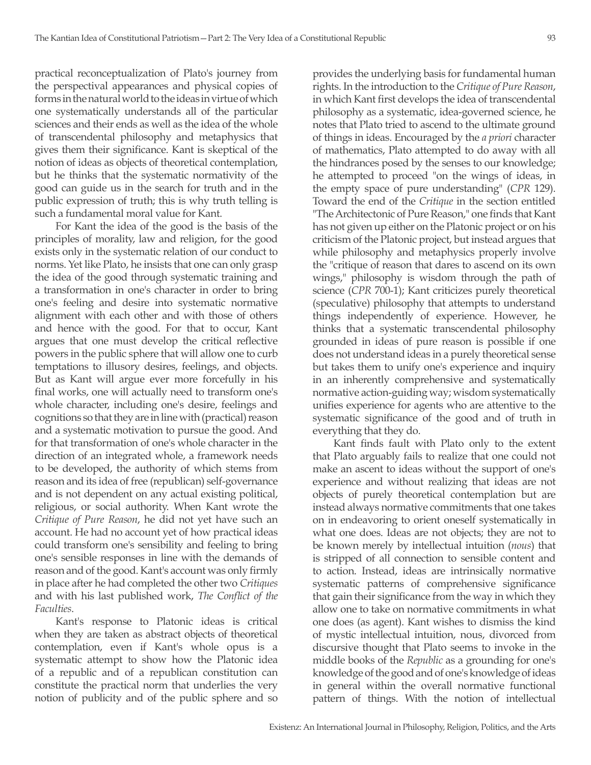practical reconceptualization of Plato's journey from the perspectival appearances and physical copies of forms in the natural world to the ideas in virtue of which one systematically understands all of the particular sciences and their ends as well as the idea of the whole of transcendental philosophy and metaphysics that gives them their significance. Kant is skeptical of the notion of ideas as objects of theoretical contemplation, but he thinks that the systematic normativity of the good can guide us in the search for truth and in the public expression of truth; this is why truth telling is such a fundamental moral value for Kant.

For Kant the idea of the good is the basis of the principles of morality, law and religion, for the good exists only in the systematic relation of our conduct to norms. Yet like Plato, he insists that one can only grasp the idea of the good through systematic training and a transformation in one's character in order to bring one's feeling and desire into systematic normative alignment with each other and with those of others and hence with the good. For that to occur, Kant argues that one must develop the critical reflective powers in the public sphere that will allow one to curb temptations to illusory desires, feelings, and objects. But as Kant will argue ever more forcefully in his final works, one will actually need to transform one's whole character, including one's desire, feelings and cognitions so that they are in line with (practical) reason and a systematic motivation to pursue the good. And for that transformation of one's whole character in the direction of an integrated whole, a framework needs to be developed, the authority of which stems from reason and its idea of free (republican) self-governance and is not dependent on any actual existing political, religious, or social authority. When Kant wrote the *Critique of Pure Reason*, he did not yet have such an account. He had no account yet of how practical ideas could transform one's sensibility and feeling to bring one's sensible responses in line with the demands of reason and of the good. Kant's account was only firmly in place after he had completed the other two *Critiques* and with his last published work, *The Conflict of the Faculties*.

Kant's response to Platonic ideas is critical when they are taken as abstract objects of theoretical contemplation, even if Kant's whole opus is a systematic attempt to show how the Platonic idea of a republic and of a republican constitution can constitute the practical norm that underlies the very notion of publicity and of the public sphere and so provides the underlying basis for fundamental human rights. In the introduction to the *Critique of Pure Reason*, in which Kant first develops the idea of transcendental philosophy as a systematic, idea-governed science, he notes that Plato tried to ascend to the ultimate ground of things in ideas. Encouraged by the *a priori* character of mathematics, Plato attempted to do away with all the hindrances posed by the senses to our knowledge; he attempted to proceed "on the wings of ideas, in the empty space of pure understanding" (*CPR* 129). Toward the end of the *Critique* in the section entitled "The Architectonic of Pure Reason," one finds that Kant has not given up either on the Platonic project or on his criticism of the Platonic project, but instead argues that while philosophy and metaphysics properly involve the "critique of reason that dares to ascend on its own wings," philosophy is wisdom through the path of science (*CPR* 700-1); Kant criticizes purely theoretical (speculative) philosophy that attempts to understand things independently of experience. However, he thinks that a systematic transcendental philosophy grounded in ideas of pure reason is possible if one does not understand ideas in a purely theoretical sense but takes them to unify one's experience and inquiry in an inherently comprehensive and systematically normative action-guiding way; wisdom systematically unifies experience for agents who are attentive to the systematic significance of the good and of truth in everything that they do.

Kant finds fault with Plato only to the extent that Plato arguably fails to realize that one could not make an ascent to ideas without the support of one's experience and without realizing that ideas are not objects of purely theoretical contemplation but are instead always normative commitments that one takes on in endeavoring to orient oneself systematically in what one does. Ideas are not objects; they are not to be known merely by intellectual intuition (*nous*) that is stripped of all connection to sensible content and to action. Instead, ideas are intrinsically normative systematic patterns of comprehensive significance that gain their significance from the way in which they allow one to take on normative commitments in what one does (as agent). Kant wishes to dismiss the kind of mystic intellectual intuition, nous, divorced from discursive thought that Plato seems to invoke in the middle books of the *Republic* as a grounding for one's knowledge of the good and of one's knowledge of ideas in general within the overall normative functional pattern of things. With the notion of intellectual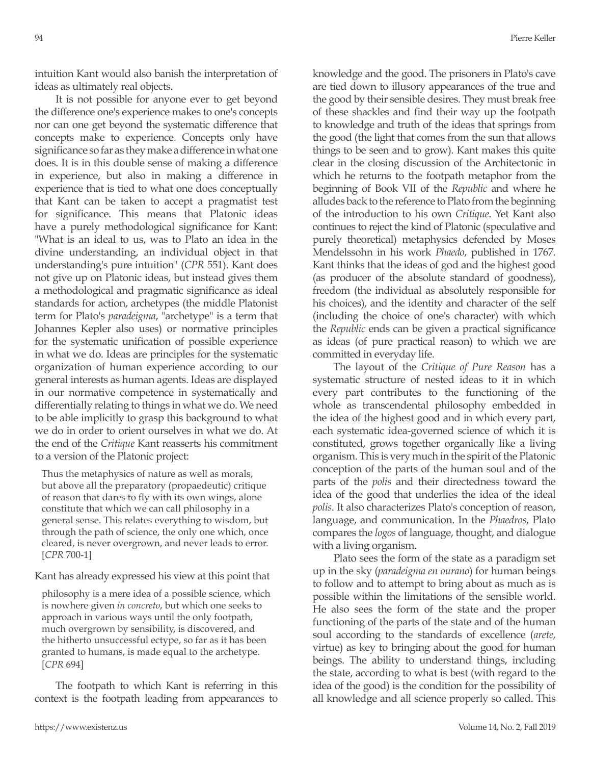intuition Kant would also banish the interpretation of ideas as ultimately real objects.

It is not possible for anyone ever to get beyond the difference one's experience makes to one's concepts nor can one get beyond the systematic difference that concepts make to experience. Concepts only have significance so far as they make a difference in what one does. It is in this double sense of making a difference in experience, but also in making a difference in experience that is tied to what one does conceptually that Kant can be taken to accept a pragmatist test for significance. This means that Platonic ideas have a purely methodological significance for Kant: "What is an ideal to us, was to Plato an idea in the divine understanding, an individual object in that understanding's pure intuition" (*CPR* 551). Kant does not give up on Platonic ideas, but instead gives them a methodological and pragmatic significance as ideal standards for action, archetypes (the middle Platonist term for Plato's *paradeigma*, "archetype" is a term that Johannes Kepler also uses) or normative principles for the systematic unification of possible experience in what we do. Ideas are principles for the systematic organization of human experience according to our general interests as human agents. Ideas are displayed in our normative competence in systematically and differentially relating to things in what we do. We need to be able implicitly to grasp this background to what we do in order to orient ourselves in what we do. At the end of the *Critique* Kant reasserts his commitment to a version of the Platonic project:

Thus the metaphysics of nature as well as morals, but above all the preparatory (propaedeutic) critique of reason that dares to fly with its own wings, alone constitute that which we can call philosophy in a general sense. This relates everything to wisdom, but through the path of science, the only one which, once cleared, is never overgrown, and never leads to error. [*CPR* 700-1]

#### Kant has already expressed his view at this point that

philosophy is a mere idea of a possible science, which is nowhere given *in concreto*, but which one seeks to approach in various ways until the only footpath, much overgrown by sensibility, is discovered, and the hitherto unsuccessful ectype, so far as it has been granted to humans, is made equal to the archetype. [*CPR* 694]

The footpath to which Kant is referring in this context is the footpath leading from appearances to knowledge and the good. The prisoners in Plato's cave are tied down to illusory appearances of the true and the good by their sensible desires. They must break free of these shackles and find their way up the footpath to knowledge and truth of the ideas that springs from the good (the light that comes from the sun that allows things to be seen and to grow). Kant makes this quite clear in the closing discussion of the Architectonic in which he returns to the footpath metaphor from the beginning of Book VII of the *Republic* and where he alludes back to the reference to Plato from the beginning of the introduction to his own *Critique*. Yet Kant also continues to reject the kind of Platonic (speculative and purely theoretical) metaphysics defended by Moses Mendelssohn in his work *Phaedo*, published in 1767. Kant thinks that the ideas of god and the highest good (as producer of the absolute standard of goodness), freedom (the individual as absolutely responsible for his choices), and the identity and character of the self (including the choice of one's character) with which the *Republic* ends can be given a practical significance as ideas (of pure practical reason) to which we are committed in everyday life.

The layout of the *Critique of Pure Reason* has a systematic structure of nested ideas to it in which every part contributes to the functioning of the whole as transcendental philosophy embedded in the idea of the highest good and in which every part, each systematic idea-governed science of which it is constituted, grows together organically like a living organism. This is very much in the spirit of the Platonic conception of the parts of the human soul and of the parts of the *polis* and their directedness toward the idea of the good that underlies the idea of the ideal *polis*. It also characterizes Plato's conception of reason, language, and communication. In the *Phaedros*, Plato compares the *logos* of language, thought, and dialogue with a living organism.

Plato sees the form of the state as a paradigm set up in the sky (*paradeigma en ourano*) for human beings to follow and to attempt to bring about as much as is possible within the limitations of the sensible world. He also sees the form of the state and the proper functioning of the parts of the state and of the human soul according to the standards of excellence (*arete*, virtue) as key to bringing about the good for human beings. The ability to understand things, including the state, according to what is best (with regard to the idea of the good) is the condition for the possibility of all knowledge and all science properly so called. This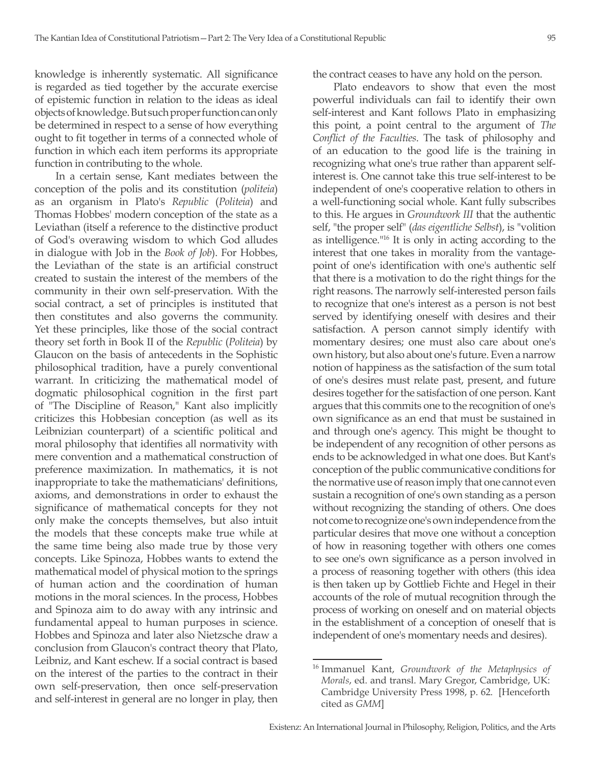knowledge is inherently systematic. All significance is regarded as tied together by the accurate exercise of epistemic function in relation to the ideas as ideal objects of knowledge. But such proper function can only be determined in respect to a sense of how everything ought to fit together in terms of a connected whole of function in which each item performs its appropriate function in contributing to the whole.

In a certain sense, Kant mediates between the conception of the polis and its constitution (*politeia*) as an organism in Plato's *Republic* (*Politeia*) and Thomas Hobbes' modern conception of the state as a Leviathan (itself a reference to the distinctive product of God's overawing wisdom to which God alludes in dialogue with Job in the *Book of Job*). For Hobbes, the Leviathan of the state is an artificial construct created to sustain the interest of the members of the community in their own self-preservation. With the social contract, a set of principles is instituted that then constitutes and also governs the community. Yet these principles, like those of the social contract theory set forth in Book II of the *Republic* (*Politeia*) by Glaucon on the basis of antecedents in the Sophistic philosophical tradition, have a purely conventional warrant. In criticizing the mathematical model of dogmatic philosophical cognition in the first part of "The Discipline of Reason," Kant also implicitly criticizes this Hobbesian conception (as well as its Leibnizian counterpart) of a scientific political and moral philosophy that identifies all normativity with mere convention and a mathematical construction of preference maximization. In mathematics, it is not inappropriate to take the mathematicians' definitions, axioms, and demonstrations in order to exhaust the significance of mathematical concepts for they not only make the concepts themselves, but also intuit the models that these concepts make true while at the same time being also made true by those very concepts. Like Spinoza, Hobbes wants to extend the mathematical model of physical motion to the springs of human action and the coordination of human motions in the moral sciences. In the process, Hobbes and Spinoza aim to do away with any intrinsic and fundamental appeal to human purposes in science. Hobbes and Spinoza and later also Nietzsche draw a conclusion from Glaucon's contract theory that Plato, Leibniz, and Kant eschew. If a social contract is based on the interest of the parties to the contract in their own self-preservation, then once self-preservation and self-interest in general are no longer in play, then

the contract ceases to have any hold on the person.

Plato endeavors to show that even the most powerful individuals can fail to identify their own self-interest and Kant follows Plato in emphasizing this point, a point central to the argument of *The Conflict of the Faculties*. The task of philosophy and of an education to the good life is the training in recognizing what one's true rather than apparent selfinterest is. One cannot take this true self-interest to be independent of one's cooperative relation to others in a well-functioning social whole. Kant fully subscribes to this. He argues in *Groundwork III* that the authentic self, "the proper self" (*das eigentliche Selbst*), is "volition as intelligence."16 It is only in acting according to the interest that one takes in morality from the vantagepoint of one's identification with one's authentic self that there is a motivation to do the right things for the right reasons. The narrowly self-interested person fails to recognize that one's interest as a person is not best served by identifying oneself with desires and their satisfaction. A person cannot simply identify with momentary desires; one must also care about one's own history, but also about one's future. Even a narrow notion of happiness as the satisfaction of the sum total of one's desires must relate past, present, and future desires together for the satisfaction of one person. Kant argues that this commits one to the recognition of one's own significance as an end that must be sustained in and through one's agency. This might be thought to be independent of any recognition of other persons as ends to be acknowledged in what one does. But Kant's conception of the public communicative conditions for the normative use of reason imply that one cannot even sustain a recognition of one's own standing as a person without recognizing the standing of others. One does not come to recognize one's own independence from the particular desires that move one without a conception of how in reasoning together with others one comes to see one's own significance as a person involved in a process of reasoning together with others (this idea is then taken up by Gottlieb Fichte and Hegel in their accounts of the role of mutual recognition through the process of working on oneself and on material objects in the establishment of a conception of oneself that is independent of one's momentary needs and desires).

<sup>16</sup> Immanuel Kant, *Groundwork of the Metaphysics of Morals*, ed. and transl. Mary Gregor, Cambridge, UK: Cambridge University Press 1998, p. 62. [Henceforth cited as *GMM*]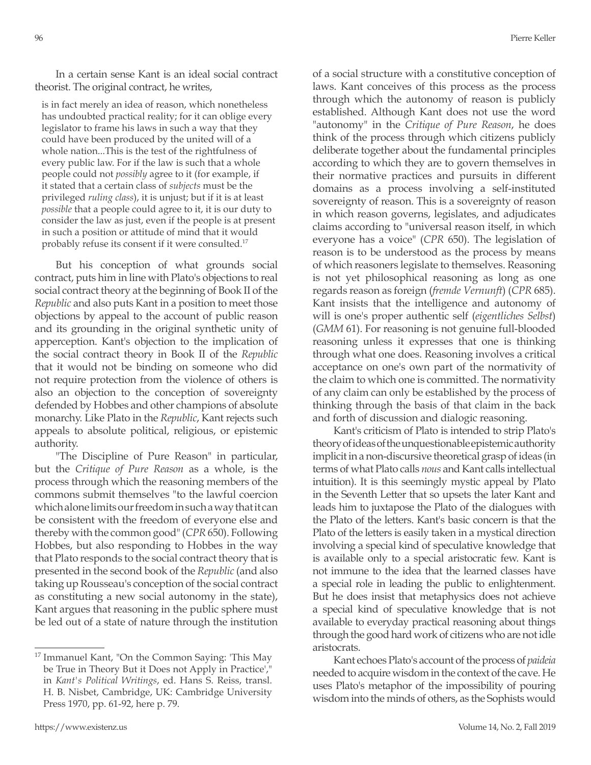In a certain sense Kant is an ideal social contract theorist. The original contract, he writes,

is in fact merely an idea of reason, which nonetheless has undoubted practical reality; for it can oblige every legislator to frame his laws in such a way that they could have been produced by the united will of a whole nation...This is the test of the rightfulness of every public law. For if the law is such that a whole people could not *possibly* agree to it (for example, if it stated that a certain class of *subjects* must be the privileged *ruling class*), it is unjust; but if it is at least *possible* that a people could agree to it, it is our duty to consider the law as just, even if the people is at present in such a position or attitude of mind that it would probably refuse its consent if it were consulted.17

But his conception of what grounds social contract, puts him in line with Plato's objections to real social contract theory at the beginning of Book II of the *Republic* and also puts Kant in a position to meet those objections by appeal to the account of public reason and its grounding in the original synthetic unity of apperception. Kant's objection to the implication of the social contract theory in Book II of the *Republic*  that it would not be binding on someone who did not require protection from the violence of others is also an objection to the conception of sovereignty defended by Hobbes and other champions of absolute monarchy. Like Plato in the *Republic*, Kant rejects such appeals to absolute political, religious, or epistemic authority.

"The Discipline of Pure Reason" in particular, but the *Critique of Pure Reason* as a whole, is the process through which the reasoning members of the commons submit themselves "to the lawful coercion which alone limits our freedom in such a way that it can be consistent with the freedom of everyone else and thereby with the common good" (*CPR* 650). Following Hobbes, but also responding to Hobbes in the way that Plato responds to the social contract theory that is presented in the second book of the *Republic* (and also taking up Rousseau's conception of the social contract as constituting a new social autonomy in the state), Kant argues that reasoning in the public sphere must be led out of a state of nature through the institution of a social structure with a constitutive conception of laws. Kant conceives of this process as the process through which the autonomy of reason is publicly established. Although Kant does not use the word "autonomy" in the *Critique of Pure Reason*, he does think of the process through which citizens publicly deliberate together about the fundamental principles according to which they are to govern themselves in their normative practices and pursuits in different domains as a process involving a self-instituted sovereignty of reason. This is a sovereignty of reason in which reason governs, legislates, and adjudicates claims according to "universal reason itself, in which everyone has a voice" (*CPR* 650). The legislation of reason is to be understood as the process by means of which reasoners legislate to themselves. Reasoning is not yet philosophical reasoning as long as one regards reason as foreign (*fremde Vernunft*) (*CPR* 685). Kant insists that the intelligence and autonomy of will is one's proper authentic self (*eigentliches Selbst*) (*GMM* 61). For reasoning is not genuine full-blooded reasoning unless it expresses that one is thinking through what one does. Reasoning involves a critical acceptance on one's own part of the normativity of the claim to which one is committed. The normativity of any claim can only be established by the process of thinking through the basis of that claim in the back and forth of discussion and dialogic reasoning.

Kant's criticism of Plato is intended to strip Plato's theory of ideas of the unquestionable epistemic authority implicit in a non-discursive theoretical grasp of ideas (in terms of what Plato calls *nous* and Kant calls intellectual intuition). It is this seemingly mystic appeal by Plato in the Seventh Letter that so upsets the later Kant and leads him to juxtapose the Plato of the dialogues with the Plato of the letters. Kant's basic concern is that the Plato of the letters is easily taken in a mystical direction involving a special kind of speculative knowledge that is available only to a special aristocratic few. Kant is not immune to the idea that the learned classes have a special role in leading the public to enlightenment. But he does insist that metaphysics does not achieve a special kind of speculative knowledge that is not available to everyday practical reasoning about things through the good hard work of citizens who are not idle aristocrats.

Kant echoes Plato's account of the process of *paideia* needed to acquire wisdom in the context of the cave. He uses Plato's metaphor of the impossibility of pouring wisdom into the minds of others, as the Sophists would

<sup>&</sup>lt;sup>17</sup> Immanuel Kant, "On the Common Saying: 'This May be True in Theory But it Does not Apply in Practice'," in *Kant's Political Writings*, ed. Hans S. Reiss, transl. H. B. Nisbet, Cambridge, UK: Cambridge University Press 1970, pp. 61-92, here p. 79.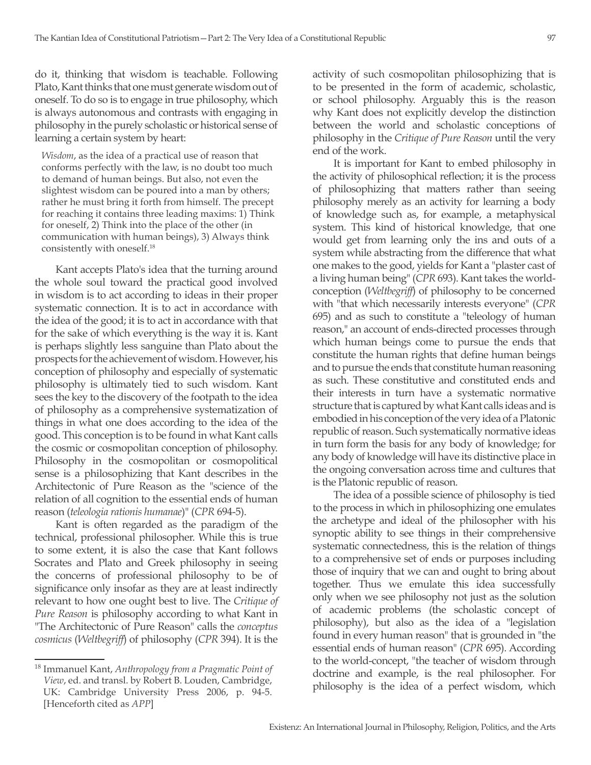do it, thinking that wisdom is teachable. Following Plato, Kant thinks that one must generate wisdom out of oneself. To do so is to engage in true philosophy, which is always autonomous and contrasts with engaging in philosophy in the purely scholastic or historical sense of learning a certain system by heart:

*Wisdom*, as the idea of a practical use of reason that conforms perfectly with the law, is no doubt too much to demand of human beings. But also, not even the slightest wisdom can be poured into a man by others; rather he must bring it forth from himself. The precept for reaching it contains three leading maxims: 1) Think for oneself, 2) Think into the place of the other (in communication with human beings), 3) Always think consistently with oneself.18

Kant accepts Plato's idea that the turning around the whole soul toward the practical good involved in wisdom is to act according to ideas in their proper systematic connection. It is to act in accordance with the idea of the good; it is to act in accordance with that for the sake of which everything is the way it is. Kant is perhaps slightly less sanguine than Plato about the prospects for the achievement of wisdom. However, his conception of philosophy and especially of systematic philosophy is ultimately tied to such wisdom. Kant sees the key to the discovery of the footpath to the idea of philosophy as a comprehensive systematization of things in what one does according to the idea of the good. This conception is to be found in what Kant calls the cosmic or cosmopolitan conception of philosophy. Philosophy in the cosmopolitan or cosmopolitical sense is a philosophizing that Kant describes in the Architectonic of Pure Reason as the "science of the relation of all cognition to the essential ends of human reason (*teleologia rationis humanae*)" (*CPR* 694-5).

Kant is often regarded as the paradigm of the technical, professional philosopher. While this is true to some extent, it is also the case that Kant follows Socrates and Plato and Greek philosophy in seeing the concerns of professional philosophy to be of significance only insofar as they are at least indirectly relevant to how one ought best to live. The *Critique of Pure Reason* is philosophy according to what Kant in "The Architectonic of Pure Reason" calls the *conceptus cosmicus* (*Weltbegriff*) of philosophy (*CPR* 394). It is the

activity of such cosmopolitan philosophizing that is to be presented in the form of academic, scholastic, or school philosophy. Arguably this is the reason why Kant does not explicitly develop the distinction between the world and scholastic conceptions of philosophy in the *Critique of Pure Reason* until the very end of the work.

It is important for Kant to embed philosophy in the activity of philosophical reflection; it is the process of philosophizing that matters rather than seeing philosophy merely as an activity for learning a body of knowledge such as, for example, a metaphysical system. This kind of historical knowledge, that one would get from learning only the ins and outs of a system while abstracting from the difference that what one makes to the good, yields for Kant a "plaster cast of a living human being" (*CPR* 693). Kant takes the worldconception (*Weltbegriff*) of philosophy to be concerned with "that which necessarily interests everyone" (*CPR*  695) and as such to constitute a "teleology of human reason," an account of ends-directed processes through which human beings come to pursue the ends that constitute the human rights that define human beings and to pursue the ends that constitute human reasoning as such. These constitutive and constituted ends and their interests in turn have a systematic normative structure that is captured by what Kant calls ideas and is embodied in his conception of the very idea of a Platonic republic of reason. Such systematically normative ideas in turn form the basis for any body of knowledge; for any body of knowledge will have its distinctive place in the ongoing conversation across time and cultures that is the Platonic republic of reason.

The idea of a possible science of philosophy is tied to the process in which in philosophizing one emulates the archetype and ideal of the philosopher with his synoptic ability to see things in their comprehensive systematic connectedness, this is the relation of things to a comprehensive set of ends or purposes including those of inquiry that we can and ought to bring about together. Thus we emulate this idea successfully only when we see philosophy not just as the solution of academic problems (the scholastic concept of philosophy), but also as the idea of a "legislation found in every human reason" that is grounded in "the essential ends of human reason" (*CPR* 695). According to the world-concept, "the teacher of wisdom through doctrine and example, is the real philosopher. For philosophy is the idea of a perfect wisdom, which

<sup>18</sup> Immanuel Kant, *Anthropology from a Pragmatic Point of View*, ed. and transl. by Robert B. Louden, Cambridge, UK: Cambridge University Press 2006, p. 94-5. [Henceforth cited as *APP*]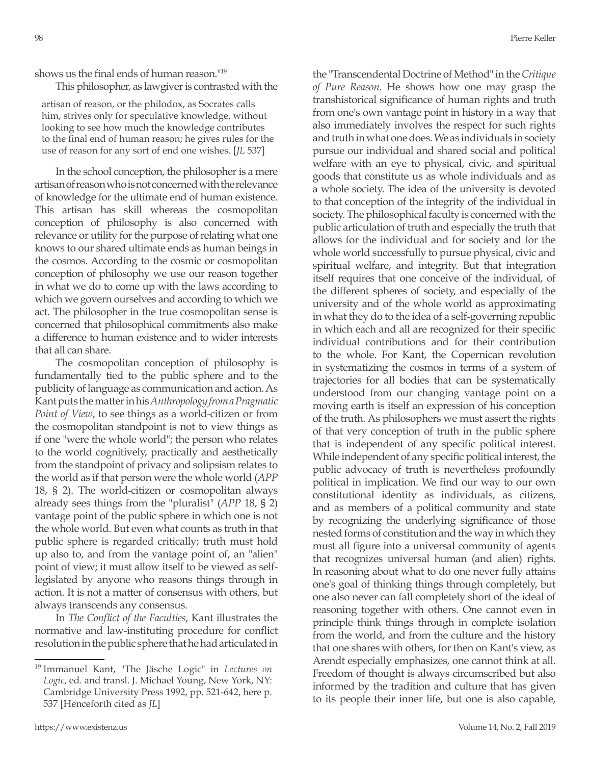shows us the final ends of human reason."<sup>19</sup>

This philosopher, as lawgiver is contrasted with the

artisan of reason, or the philodox, as Socrates calls him, strives only for speculative knowledge, without looking to see how much the knowledge contributes to the final end of human reason; he gives rules for the use of reason for any sort of end one wishes. [*JL* 537]

In the school conception, the philosopher is a mere artisan of reason who is not concerned with the relevance of knowledge for the ultimate end of human existence. This artisan has skill whereas the cosmopolitan conception of philosophy is also concerned with relevance or utility for the purpose of relating what one knows to our shared ultimate ends as human beings in the cosmos. According to the cosmic or cosmopolitan conception of philosophy we use our reason together in what we do to come up with the laws according to which we govern ourselves and according to which we act. The philosopher in the true cosmopolitan sense is concerned that philosophical commitments also make a difference to human existence and to wider interests that all can share.

The cosmopolitan conception of philosophy is fundamentally tied to the public sphere and to the publicity of language as communication and action. As Kant puts the matter in his *Anthropology from a Pragmatic Point of View*, to see things as a world-citizen or from the cosmopolitan standpoint is not to view things as if one "were the whole world"; the person who relates to the world cognitively, practically and aesthetically from the standpoint of privacy and solipsism relates to the world as if that person were the whole world (*APP* 18, § 2). The world-citizen or cosmopolitan always already sees things from the "pluralist" (*APP* 18, § 2) vantage point of the public sphere in which one is not the whole world. But even what counts as truth in that public sphere is regarded critically; truth must hold up also to, and from the vantage point of, an "alien" point of view; it must allow itself to be viewed as selflegislated by anyone who reasons things through in action. It is not a matter of consensus with others, but always transcends any consensus.

In *The Conflict of the Faculties*, Kant illustrates the normative and law-instituting procedure for conflict resolution in the public sphere that he had articulated in the "Transcendental Doctrine of Method" in the *Critique of Pure Reason*. He shows how one may grasp the transhistorical significance of human rights and truth from one's own vantage point in history in a way that also immediately involves the respect for such rights and truth in what one does. We as individuals in society pursue our individual and shared social and political welfare with an eye to physical, civic, and spiritual goods that constitute us as whole individuals and as a whole society. The idea of the university is devoted to that conception of the integrity of the individual in society. The philosophical faculty is concerned with the public articulation of truth and especially the truth that allows for the individual and for society and for the whole world successfully to pursue physical, civic and spiritual welfare, and integrity. But that integration itself requires that one conceive of the individual, of the different spheres of society, and especially of the university and of the whole world as approximating in what they do to the idea of a self-governing republic in which each and all are recognized for their specific individual contributions and for their contribution to the whole. For Kant, the Copernican revolution in systematizing the cosmos in terms of a system of trajectories for all bodies that can be systematically understood from our changing vantage point on a moving earth is itself an expression of his conception of the truth. As philosophers we must assert the rights of that very conception of truth in the public sphere that is independent of any specific political interest. While independent of any specific political interest, the public advocacy of truth is nevertheless profoundly political in implication. We find our way to our own constitutional identity as individuals, as citizens, and as members of a political community and state by recognizing the underlying significance of those nested forms of constitution and the way in which they must all figure into a universal community of agents that recognizes universal human (and alien) rights. In reasoning about what to do one never fully attains one's goal of thinking things through completely, but one also never can fall completely short of the ideal of reasoning together with others. One cannot even in principle think things through in complete isolation from the world, and from the culture and the history that one shares with others, for then on Kant's view, as Arendt especially emphasizes, one cannot think at all. Freedom of thought is always circumscribed but also informed by the tradition and culture that has given to its people their inner life, but one is also capable,

<sup>19</sup> Immanuel Kant, "The Jäsche Logic" in *Lectures on Logic*, ed. and transl. J. Michael Young, New York, NY: Cambridge University Press 1992, pp. 521-642, here p. 537 [Henceforth cited as *JL*]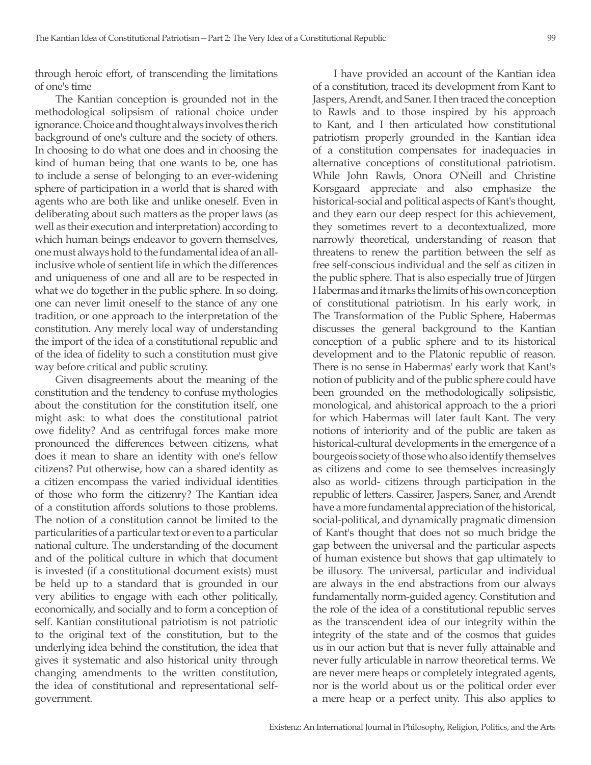through heroic effort, of transcending the limitations of one's time

The Kantian conception is grounded not in the methodological solipsism of rational choice under ignorance. Choice and thought always involves the rich background of one's culture and the society of others. In choosing to do what one does and in choosing the kind of human being that one wants to be, one has to include a sense of belonging to an ever-widening sphere of participation in a world that is shared with agents who are both like and unlike oneself. Even in deliberating about such matters as the proper laws (as well as their execution and interpretation) according to which human beings endeavor to govern themselves, one must always hold to the fundamental idea of an allinclusive whole of sentient life in which the differences and uniqueness of one and all are to be respected in what we do together in the public sphere. In so doing, one can never limit oneself to the stance of any one tradition, or one approach to the interpretation of the constitution. Any merely local way of understanding the import of the idea of a constitutional republic and of the idea of fidelity to such a constitution must give way before critical and public scrutiny.

Given disagreements about the meaning of the constitution and the tendency to confuse mythologies about the constitution for the constitution itself, one might ask: to what does the constitutional patriot owe fidelity? And as centrifugal forces make more pronounced the differences between citizens, what does it mean to share an identity with one's fellow citizens? Put otherwise, how can a shared identity as a citizen encompass the varied individual identities of those who form the citizenry? The Kantian idea of a constitution affords solutions to those problems. The notion of a constitution cannot be limited to the particularities of a particular text or even to a particular national culture. The understanding of the document and of the political culture in which that document is invested (if a constitutional document exists) must be held up to a standard that is grounded in our very abilities to engage with each other politically, economically, and socially and to form a conception of self. Kantian constitutional patriotism is not patriotic to the original text of the constitution, but to the underlying idea behind the constitution, the idea that gives it systematic and also historical unity through changing amendments to the written constitution, the idea of constitutional and representational selfgovernment.

I have provided an account of the Kantian idea of a constitution, traced its development from Kant to Jaspers, Arendt, and Saner. I then traced the conception to Rawls and to those inspired by his approach to Kant, and I then articulated how constitutional patriotism properly grounded in the Kantian idea of a constitution compensates for inadequacies in alternative conceptions of constitutional patriotism. While John Rawls, Onora O'Neill and Christine Korsgaard appreciate and also emphasize the historical-social and political aspects of Kant's thought, and they earn our deep respect for this achievement, they sometimes revert to a decontextualized, more narrowly theoretical, understanding of reason that threatens to renew the partition between the self as free self-conscious individual and the self as citizen in the public sphere. That is also especially true of Jürgen Habermas and it marks the limits of his own conception of constitutional patriotism. In his early work, in The Transformation of the Public Sphere, Habermas discusses the general background to the Kantian conception of a public sphere and to its historical development and to the Platonic republic of reason. There is no sense in Habermas' early work that Kant's notion of publicity and of the public sphere could have been grounded on the methodologically solipsistic, monological, and ahistorical approach to the a priori for which Habermas will later fault Kant. The very notions of interiority and of the public are taken as historical-cultural developments in the emergence of a bourgeois society of those who also identify themselves as citizens and come to see themselves increasingly also as world- citizens through participation in the republic of letters. Cassirer, Jaspers, Saner, and Arendt have a more fundamental appreciation of the historical, social-political, and dynamically pragmatic dimension of Kant's thought that does not so much bridge the gap between the universal and the particular aspects of human existence but shows that gap ultimately to be illusory. The universal, particular and individual are always in the end abstractions from our always fundamentally norm-guided agency. Constitution and the role of the idea of a constitutional republic serves as the transcendent idea of our integrity within the integrity of the state and of the cosmos that guides us in our action but that is never fully attainable and never fully articulable in narrow theoretical terms. We are never mere heaps or completely integrated agents, nor is the world about us or the political order ever a mere heap or a perfect unity. This also applies to